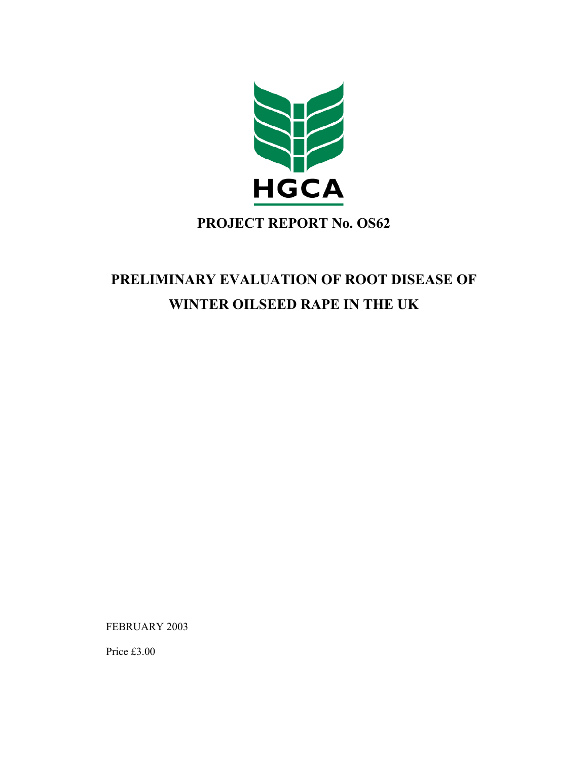

## **PROJECT REPORT No. OS62**

# **PRELIMINARY EVALUATION OF ROOT DISEASE OF WINTER OILSEED RAPE IN THE UK**

FEBRUARY 2003

Price £3.00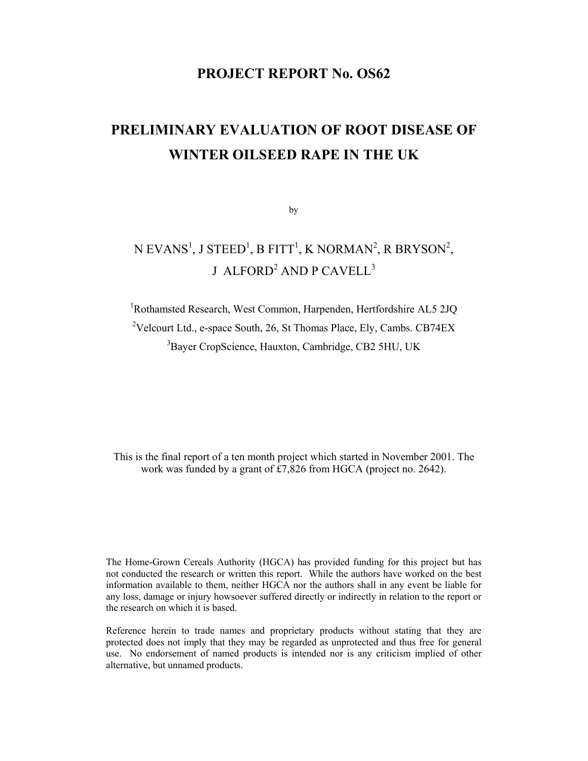### **PROJECT REPORT No. OS62**

# **PRELIMINARY EVALUATION OF ROOT DISEASE OF WINTER OILSEED RAPE IN THE UK**

by

## N EVANS<sup>1</sup>, J STEED<sup>1</sup>, B FITT<sup>1</sup>, K NORMAN<sup>2</sup>, R BRYSON<sup>2</sup>, J  $\mathbf{\Delta}$ LFORD $^2$   $\mathbf{\Delta}$ ND P $\mathbf{\Delta}$ CAVELL $^3$

<sup>1</sup>Rothamsted Research, West Common, Harpenden, Hertfordshire AL5 2JQ <sup>2</sup>Velcourt Ltd., e-space South, 26, St Thomas Place, Ely, Cambs. CB74EX <sup>3</sup>Bayer CropScience, Hauxton, Cambridge, CB2 5HU, UK

This is the final report of a ten month project which started in November 2001. The work was funded by a grant of £7,826 from HGCA (project no. 2642).

The Home-Grown Cereals Authority (HGCA) has provided funding for this project but has not conducted the research or written this report. While the authors have worked on the best information available to them, neither HGCA nor the authors shall in any event be liable for any loss, damage or injury howsoever suffered directly or indirectly in relation to the report or the research on which it is based.

Reference herein to trade names and proprietary products without stating that they are protected does not imply that they may be regarded as unprotected and thus free for general use. No endorsement of named products is intended nor is any criticism implied of other alternative, but unnamed products.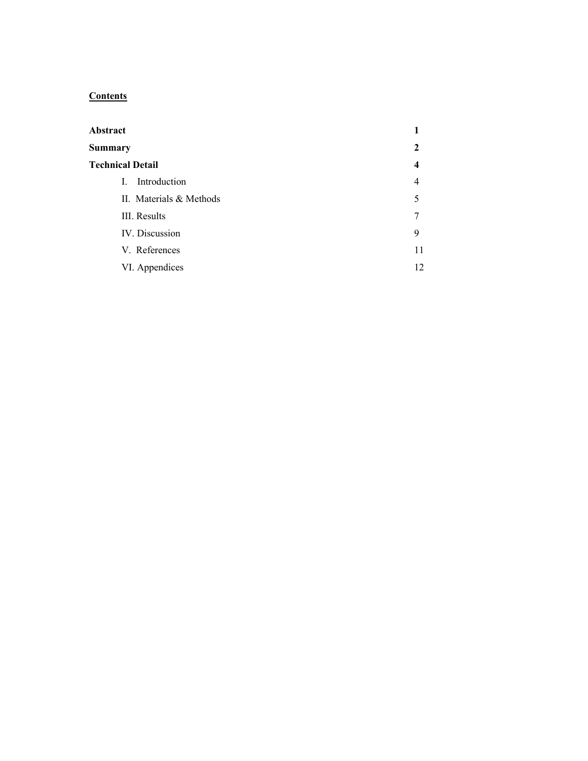### **Contents**

| Abstract                |    |
|-------------------------|----|
| <b>Summary</b>          | 2  |
| <b>Technical Detail</b> | 4  |
| Introduction<br>L       | 4  |
| II. Materials & Methods | 5  |
| III. Results            | 7  |
| IV. Discussion          | 9  |
| V. References           | 11 |
| VI. Appendices          | 12 |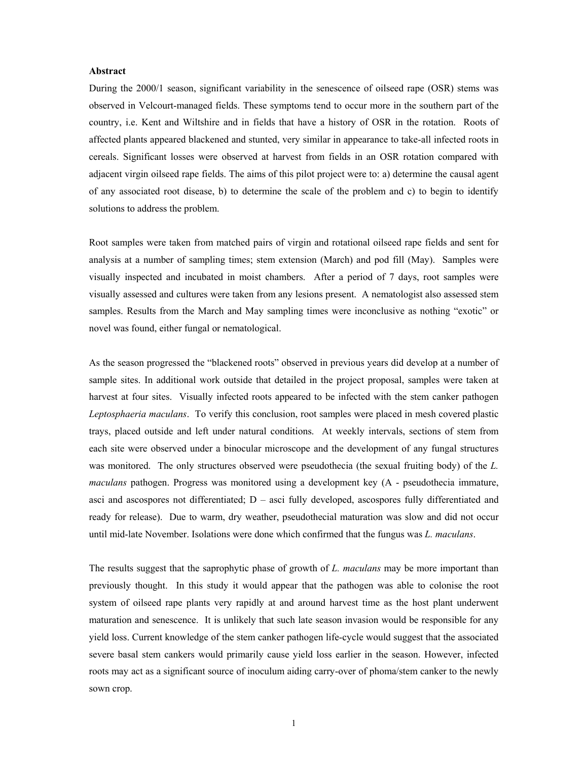#### **Abstract**

During the 2000/1 season, significant variability in the senescence of oilseed rape (OSR) stems was observed in Velcourt-managed fields. These symptoms tend to occur more in the southern part of the country, i.e. Kent and Wiltshire and in fields that have a history of OSR in the rotation. Roots of affected plants appeared blackened and stunted, very similar in appearance to take-all infected roots in cereals. Significant losses were observed at harvest from fields in an OSR rotation compared with adjacent virgin oilseed rape fields. The aims of this pilot project were to: a) determine the causal agent of any associated root disease, b) to determine the scale of the problem and c) to begin to identify solutions to address the problem.

Root samples were taken from matched pairs of virgin and rotational oilseed rape fields and sent for analysis at a number of sampling times; stem extension (March) and pod fill (May). Samples were visually inspected and incubated in moist chambers. After a period of 7 days, root samples were visually assessed and cultures were taken from any lesions present. A nematologist also assessed stem samples. Results from the March and May sampling times were inconclusive as nothing "exotic" or novel was found, either fungal or nematological.

As the season progressed the "blackened roots" observed in previous years did develop at a number of sample sites. In additional work outside that detailed in the project proposal, samples were taken at harvest at four sites. Visually infected roots appeared to be infected with the stem canker pathogen *Leptosphaeria maculans*. To verify this conclusion, root samples were placed in mesh covered plastic trays, placed outside and left under natural conditions. At weekly intervals, sections of stem from each site were observed under a binocular microscope and the development of any fungal structures was monitored. The only structures observed were pseudothecia (the sexual fruiting body) of the *L. maculans* pathogen. Progress was monitored using a development key (A - pseudothecia immature, asci and ascospores not differentiated;  $D -$  asci fully developed, ascospores fully differentiated and ready for release). Due to warm, dry weather, pseudothecial maturation was slow and did not occur until mid-late November. Isolations were done which confirmed that the fungus was *L. maculans*.

The results suggest that the saprophytic phase of growth of *L. maculans* may be more important than previously thought. In this study it would appear that the pathogen was able to colonise the root system of oilseed rape plants very rapidly at and around harvest time as the host plant underwent maturation and senescence. It is unlikely that such late season invasion would be responsible for any yield loss. Current knowledge of the stem canker pathogen life-cycle would suggest that the associated severe basal stem cankers would primarily cause yield loss earlier in the season. However, infected roots may act as a significant source of inoculum aiding carry-over of phoma/stem canker to the newly sown crop.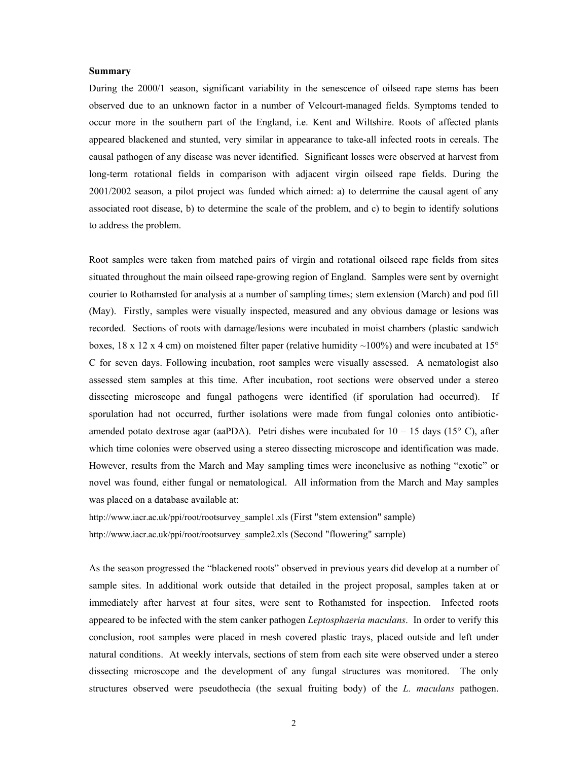#### **Summary**

During the 2000/1 season, significant variability in the senescence of oilseed rape stems has been observed due to an unknown factor in a number of Velcourt-managed fields. Symptoms tended to occur more in the southern part of the England, i.e. Kent and Wiltshire. Roots of affected plants appeared blackened and stunted, very similar in appearance to take-all infected roots in cereals. The causal pathogen of any disease was never identified. Significant losses were observed at harvest from long-term rotational fields in comparison with adjacent virgin oilseed rape fields. During the 2001/2002 season, a pilot project was funded which aimed: a) to determine the causal agent of any associated root disease, b) to determine the scale of the problem, and c) to begin to identify solutions to address the problem.

Root samples were taken from matched pairs of virgin and rotational oilseed rape fields from sites situated throughout the main oilseed rape-growing region of England. Samples were sent by overnight courier to Rothamsted for analysis at a number of sampling times; stem extension (March) and pod fill (May). Firstly, samples were visually inspected, measured and any obvious damage or lesions was recorded. Sections of roots with damage/lesions were incubated in moist chambers (plastic sandwich boxes,  $18 \times 12 \times 4$  cm) on moistened filter paper (relative humidity ~100%) and were incubated at 15° C for seven days. Following incubation, root samples were visually assessed. A nematologist also assessed stem samples at this time. After incubation, root sections were observed under a stereo dissecting microscope and fungal pathogens were identified (if sporulation had occurred). If sporulation had not occurred, further isolations were made from fungal colonies onto antibioticamended potato dextrose agar (aaPDA). Petri dishes were incubated for  $10 - 15$  days ( $15^{\circ}$  C), after which time colonies were observed using a stereo dissecting microscope and identification was made. However, results from the March and May sampling times were inconclusive as nothing "exotic" or novel was found, either fungal or nematological. All information from the March and May samples was placed on a database available at:

http://www.iacr.ac.uk/ppi/root/rootsurvey\_sample1.xls (First "stem extension" sample) http://www.iacr.ac.uk/ppi/root/rootsurvey\_sample2.xls (Second "flowering" sample)

As the season progressed the "blackened roots" observed in previous years did develop at a number of sample sites. In additional work outside that detailed in the project proposal, samples taken at or immediately after harvest at four sites, were sent to Rothamsted for inspection. Infected roots appeared to be infected with the stem canker pathogen *Leptosphaeria maculans*. In order to verify this conclusion, root samples were placed in mesh covered plastic trays, placed outside and left under natural conditions. At weekly intervals, sections of stem from each site were observed under a stereo dissecting microscope and the development of any fungal structures was monitored. The only structures observed were pseudothecia (the sexual fruiting body) of the *L. maculans* pathogen.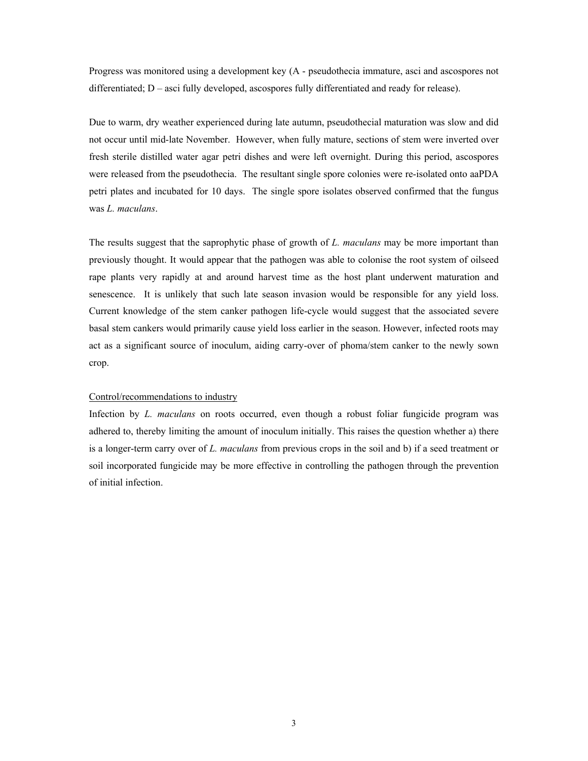Progress was monitored using a development key (A - pseudothecia immature, asci and ascospores not differentiated; D – asci fully developed, ascospores fully differentiated and ready for release).

Due to warm, dry weather experienced during late autumn, pseudothecial maturation was slow and did not occur until mid-late November. However, when fully mature, sections of stem were inverted over fresh sterile distilled water agar petri dishes and were left overnight. During this period, ascospores were released from the pseudothecia. The resultant single spore colonies were re-isolated onto aaPDA petri plates and incubated for 10 days. The single spore isolates observed confirmed that the fungus was *L. maculans*.

The results suggest that the saprophytic phase of growth of *L. maculans* may be more important than previously thought. It would appear that the pathogen was able to colonise the root system of oilseed rape plants very rapidly at and around harvest time as the host plant underwent maturation and senescence. It is unlikely that such late season invasion would be responsible for any yield loss. Current knowledge of the stem canker pathogen life-cycle would suggest that the associated severe basal stem cankers would primarily cause yield loss earlier in the season. However, infected roots may act as a significant source of inoculum, aiding carry-over of phoma/stem canker to the newly sown crop.

#### Control/recommendations to industry

Infection by *L. maculans* on roots occurred, even though a robust foliar fungicide program was adhered to, thereby limiting the amount of inoculum initially. This raises the question whether a) there is a longer-term carry over of *L. maculans* from previous crops in the soil and b) if a seed treatment or soil incorporated fungicide may be more effective in controlling the pathogen through the prevention of initial infection.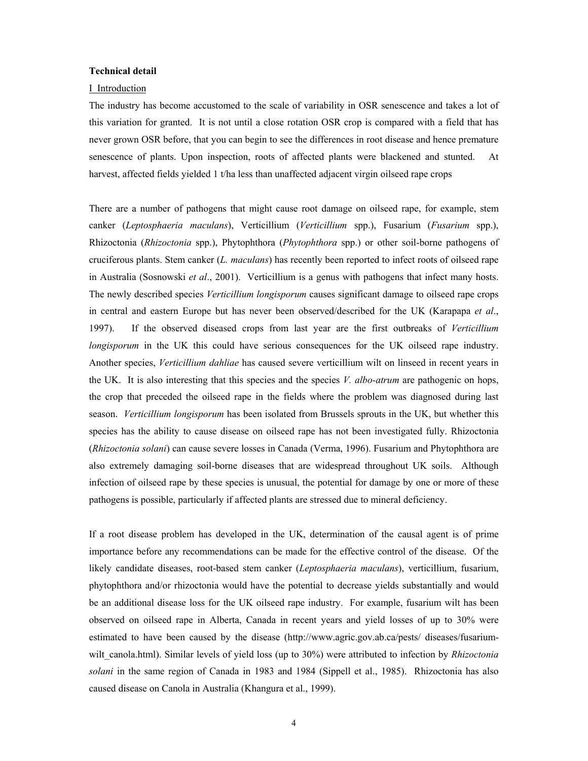#### **Technical detail**

#### I Introduction

The industry has become accustomed to the scale of variability in OSR senescence and takes a lot of this variation for granted. It is not until a close rotation OSR crop is compared with a field that has never grown OSR before, that you can begin to see the differences in root disease and hence premature senescence of plants. Upon inspection, roots of affected plants were blackened and stunted. At harvest, affected fields yielded 1 t/ha less than unaffected adjacent virgin oilseed rape crops

There are a number of pathogens that might cause root damage on oilseed rape, for example, stem canker (*Leptosphaeria maculans*), Verticillium (*Verticillium* spp.), Fusarium (*Fusarium* spp.), Rhizoctonia (*Rhizoctonia* spp.), Phytophthora (*Phytophthora* spp.) or other soil-borne pathogens of cruciferous plants. Stem canker (*L. maculans*) has recently been reported to infect roots of oilseed rape in Australia (Sosnowski *et al*., 2001). Verticillium is a genus with pathogens that infect many hosts. The newly described species *Verticillium longisporum* causes significant damage to oilseed rape crops in central and eastern Europe but has never been observed/described for the UK (Karapapa *et al*., 1997). If the observed diseased crops from last year are the first outbreaks of *Verticillium longisporum* in the UK this could have serious consequences for the UK oilseed rape industry. Another species, *Verticillium dahliae* has caused severe verticillium wilt on linseed in recent years in the UK. It is also interesting that this species and the species *V. albo-atrum* are pathogenic on hops, the crop that preceded the oilseed rape in the fields where the problem was diagnosed during last season. *Verticillium longisporum* has been isolated from Brussels sprouts in the UK, but whether this species has the ability to cause disease on oilseed rape has not been investigated fully. Rhizoctonia (*Rhizoctonia solani*) can cause severe losses in Canada (Verma, 1996). Fusarium and Phytophthora are also extremely damaging soil-borne diseases that are widespread throughout UK soils. Although infection of oilseed rape by these species is unusual, the potential for damage by one or more of these pathogens is possible, particularly if affected plants are stressed due to mineral deficiency.

If a root disease problem has developed in the UK, determination of the causal agent is of prime importance before any recommendations can be made for the effective control of the disease. Of the likely candidate diseases, root-based stem canker (*Leptosphaeria maculans*), verticillium, fusarium, phytophthora and/or rhizoctonia would have the potential to decrease yields substantially and would be an additional disease loss for the UK oilseed rape industry. For example, fusarium wilt has been observed on oilseed rape in Alberta, Canada in recent years and yield losses of up to 30% were estimated to have been caused by the disease (http://www.agric.gov.ab.ca/pests/ diseases/fusariumwilt canola.html). Similar levels of yield loss (up to 30%) were attributed to infection by *Rhizoctonia solani* in the same region of Canada in 1983 and 1984 (Sippell et al., 1985). Rhizoctonia has also caused disease on Canola in Australia (Khangura et al., 1999).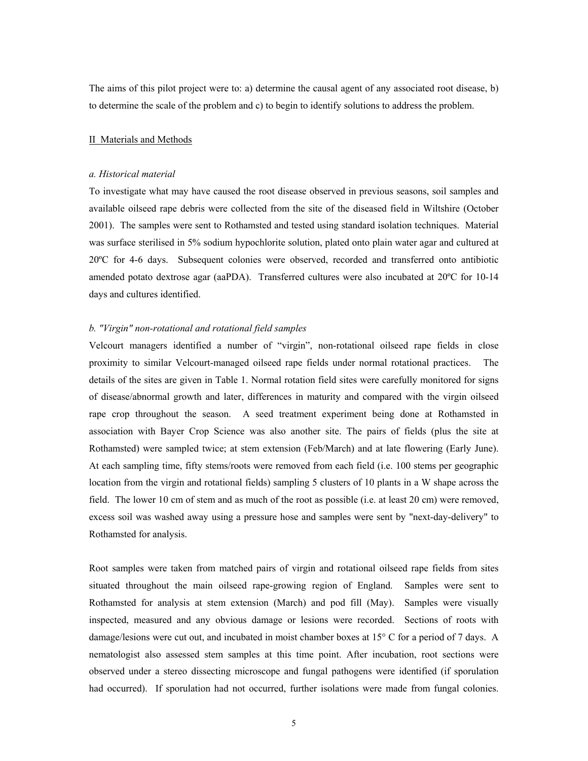The aims of this pilot project were to: a) determine the causal agent of any associated root disease, b) to determine the scale of the problem and c) to begin to identify solutions to address the problem.

#### II Materials and Methods

#### *a. Historical material*

To investigate what may have caused the root disease observed in previous seasons, soil samples and available oilseed rape debris were collected from the site of the diseased field in Wiltshire (October 2001). The samples were sent to Rothamsted and tested using standard isolation techniques. Material was surface sterilised in 5% sodium hypochlorite solution, plated onto plain water agar and cultured at 20ºC for 4-6 days. Subsequent colonies were observed, recorded and transferred onto antibiotic amended potato dextrose agar (aaPDA). Transferred cultures were also incubated at 20ºC for 10-14 days and cultures identified.

#### *b. "Virgin" non-rotational and rotational field samples*

Velcourt managers identified a number of "virgin", non-rotational oilseed rape fields in close proximity to similar Velcourt-managed oilseed rape fields under normal rotational practices. The details of the sites are given in Table 1. Normal rotation field sites were carefully monitored for signs of disease/abnormal growth and later, differences in maturity and compared with the virgin oilseed rape crop throughout the season. A seed treatment experiment being done at Rothamsted in association with Bayer Crop Science was also another site. The pairs of fields (plus the site at Rothamsted) were sampled twice; at stem extension (Feb/March) and at late flowering (Early June). At each sampling time, fifty stems/roots were removed from each field (i.e. 100 stems per geographic location from the virgin and rotational fields) sampling 5 clusters of 10 plants in a W shape across the field. The lower 10 cm of stem and as much of the root as possible (i.e. at least 20 cm) were removed, excess soil was washed away using a pressure hose and samples were sent by "next-day-delivery" to Rothamsted for analysis.

Root samples were taken from matched pairs of virgin and rotational oilseed rape fields from sites situated throughout the main oilseed rape-growing region of England. Samples were sent to Rothamsted for analysis at stem extension (March) and pod fill (May). Samples were visually inspected, measured and any obvious damage or lesions were recorded. Sections of roots with damage/lesions were cut out, and incubated in moist chamber boxes at 15° C for a period of 7 days. A nematologist also assessed stem samples at this time point. After incubation, root sections were observed under a stereo dissecting microscope and fungal pathogens were identified (if sporulation had occurred). If sporulation had not occurred, further isolations were made from fungal colonies.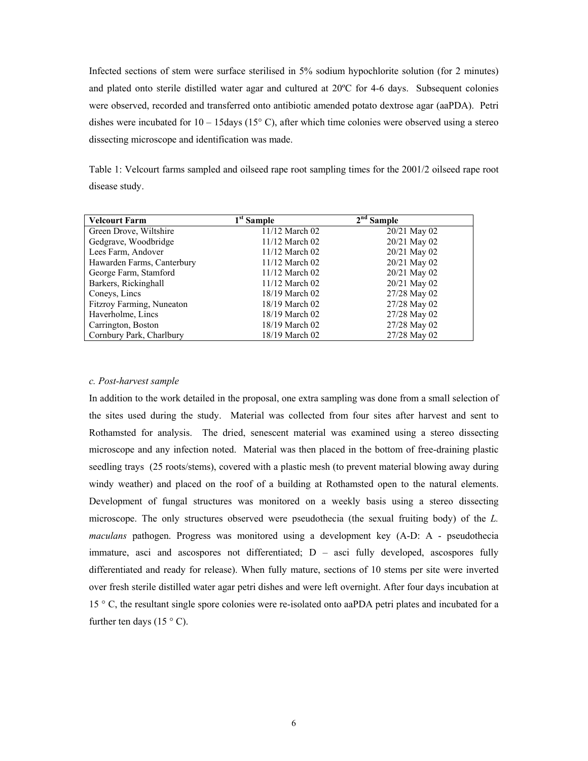Infected sections of stem were surface sterilised in 5% sodium hypochlorite solution (for 2 minutes) and plated onto sterile distilled water agar and cultured at 20ºC for 4-6 days. Subsequent colonies were observed, recorded and transferred onto antibiotic amended potato dextrose agar (aaPDA). Petri dishes were incubated for  $10 - 15$  days (15° C), after which time colonies were observed using a stereo dissecting microscope and identification was made.

Table 1: Velcourt farms sampled and oilseed rape root sampling times for the 2001/2 oilseed rape root disease study.

| <b>Velcourt Farm</b>       | $1st$ Sample   | $2nd$ Sample |
|----------------------------|----------------|--------------|
| Green Drove, Wiltshire     | 11/12 March 02 | 20/21 May 02 |
| Gedgrave, Woodbridge       | 11/12 March 02 | 20/21 May 02 |
| Lees Farm, Andover         | 11/12 March 02 | 20/21 May 02 |
| Hawarden Farms, Canterbury | 11/12 March 02 | 20/21 May 02 |
| George Farm, Stamford      | 11/12 March 02 | 20/21 May 02 |
| Barkers, Rickinghall       | 11/12 March 02 | 20/21 May 02 |
| Coneys, Lincs              | 18/19 March 02 | 27/28 May 02 |
| Fitzroy Farming, Nuneaton  | 18/19 March 02 | 27/28 May 02 |
| Haverholme, Lincs          | 18/19 March 02 | 27/28 May 02 |
| Carrington, Boston         | 18/19 March 02 | 27/28 May 02 |
| Cornbury Park, Charlbury   | 18/19 March 02 | 27/28 May 02 |

#### *c. Post-harvest sample*

In addition to the work detailed in the proposal, one extra sampling was done from a small selection of the sites used during the study. Material was collected from four sites after harvest and sent to Rothamsted for analysis. The dried, senescent material was examined using a stereo dissecting microscope and any infection noted. Material was then placed in the bottom of free-draining plastic seedling trays (25 roots/stems), covered with a plastic mesh (to prevent material blowing away during windy weather) and placed on the roof of a building at Rothamsted open to the natural elements. Development of fungal structures was monitored on a weekly basis using a stereo dissecting microscope. The only structures observed were pseudothecia (the sexual fruiting body) of the *L. maculans* pathogen. Progress was monitored using a development key (A-D: A - pseudothecia immature, asci and ascospores not differentiated; D – asci fully developed, ascospores fully differentiated and ready for release). When fully mature, sections of 10 stems per site were inverted over fresh sterile distilled water agar petri dishes and were left overnight. After four days incubation at 15 ° C, the resultant single spore colonies were re-isolated onto aaPDA petri plates and incubated for a further ten days (15  $\degree$  C).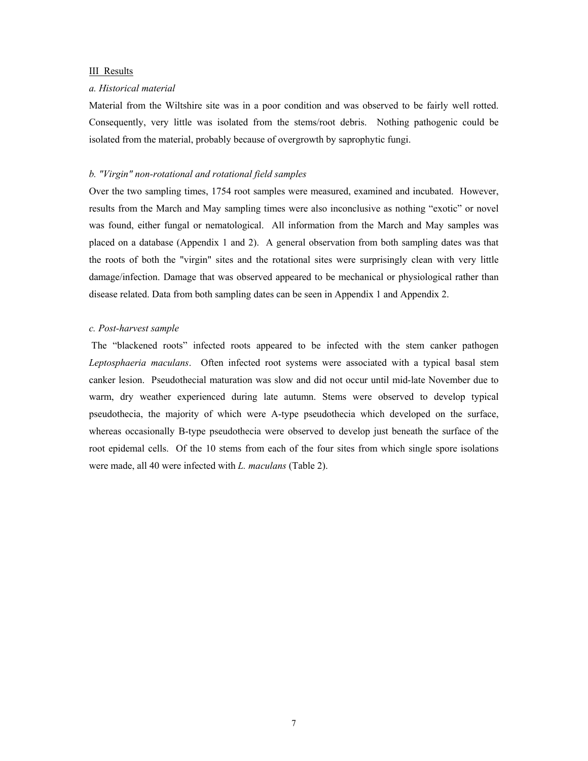#### III Results

#### *a. Historical material*

Material from the Wiltshire site was in a poor condition and was observed to be fairly well rotted. Consequently, very little was isolated from the stems/root debris. Nothing pathogenic could be isolated from the material, probably because of overgrowth by saprophytic fungi.

#### *b. "Virgin" non-rotational and rotational field samples*

Over the two sampling times, 1754 root samples were measured, examined and incubated. However, results from the March and May sampling times were also inconclusive as nothing "exotic" or novel was found, either fungal or nematological. All information from the March and May samples was placed on a database (Appendix 1 and 2). A general observation from both sampling dates was that the roots of both the "virgin" sites and the rotational sites were surprisingly clean with very little damage/infection. Damage that was observed appeared to be mechanical or physiological rather than disease related. Data from both sampling dates can be seen in Appendix 1 and Appendix 2.

#### *c. Post-harvest sample*

 The "blackened roots" infected roots appeared to be infected with the stem canker pathogen *Leptosphaeria maculans*. Often infected root systems were associated with a typical basal stem canker lesion. Pseudothecial maturation was slow and did not occur until mid-late November due to warm, dry weather experienced during late autumn. Stems were observed to develop typical pseudothecia, the majority of which were A-type pseudothecia which developed on the surface, whereas occasionally B-type pseudothecia were observed to develop just beneath the surface of the root epidemal cells. Of the 10 stems from each of the four sites from which single spore isolations were made, all 40 were infected with *L. maculans* (Table 2).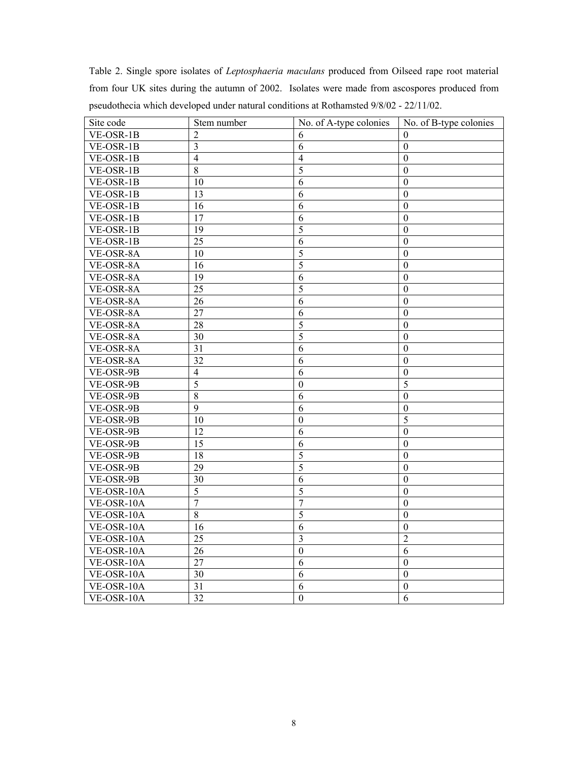Table 2. Single spore isolates of *Leptosphaeria maculans* produced from Oilseed rape root material from four UK sites during the autumn of 2002. Isolates were made from ascospores produced from pseudothecia which developed under natural conditions at Rothamsted 9/8/02 - 22/11/02.

| Site code  | Stem number     | No. of A-type colonies | No. of B-type colonies |
|------------|-----------------|------------------------|------------------------|
| VE-OSR-1B  | $\overline{2}$  | 6                      | $\theta$               |
| VE-OSR-1B  | 3               | 6                      | $\boldsymbol{0}$       |
| VE-OSR-1B  | 4               | 4                      | $\theta$               |
| VE-OSR-1B  | $\,8\,$         | $\overline{5}$         | $\boldsymbol{0}$       |
| VE-OSR-1B  | 10              | 6                      | $\theta$               |
| VE-OSR-1B  | $\overline{13}$ | $\overline{6}$         | $\overline{0}$         |
| VE-OSR-1B  | 16              | 6                      | $\boldsymbol{0}$       |
| VE-OSR-1B  | 17              | 6                      | $\theta$               |
| VE-OSR-1B  | 19              | 5                      | $\theta$               |
| VE-OSR-1B  | 25              | 6                      | $\theta$               |
| VE-OSR-8A  | 10              | $\overline{5}$         | $\overline{0}$         |
| VE-OSR-8A  | $\overline{16}$ | $\overline{5}$         | $\overline{0}$         |
| VE-OSR-8A  | 19              | 6                      | $\boldsymbol{0}$       |
| VE-OSR-8A  | 25              | 5                      | $\boldsymbol{0}$       |
| VE-OSR-8A  | 26              | $\overline{6}$         | $\theta$               |
| VE-OSR-8A  | 27              | 6                      | $\theta$               |
| VE-OSR-8A  | 28              | $\overline{5}$         | $\mathbf{0}$           |
| VE-OSR-8A  | 30              | $\overline{5}$         | $\theta$               |
| VE-OSR-8A  | 31              | 6                      | $\overline{0}$         |
| VE-OSR-8A  | 32              | 6                      | $\theta$               |
| VE-OSR-9B  | $\overline{4}$  | 6                      | $\boldsymbol{0}$       |
| VE-OSR-9B  | $\overline{5}$  | $\boldsymbol{0}$       | $\overline{5}$         |
| VE-OSR-9B  | 8               | 6                      | $\theta$               |
| VE-OSR-9B  | $\overline{9}$  | 6                      | $\boldsymbol{0}$       |
| VE-OSR-9B  | 10              | $\boldsymbol{0}$       | 5                      |
| VE-OSR-9B  | 12              | 6                      | $\theta$               |
| VE-OSR-9B  | 15              | 6                      | $\boldsymbol{0}$       |
| VE-OSR-9B  | 18              | $\overline{5}$         | $\theta$               |
| VE-OSR-9B  | $\overline{29}$ | $\overline{5}$         | $\theta$               |
| VE-OSR-9B  | 30              | 6                      | $\boldsymbol{0}$       |
| VE-OSR-10A | 5               | 5                      | $\theta$               |
| VE-OSR-10A | $\overline{7}$  | $\overline{7}$         | $\theta$               |
| VE-OSR-10A | $\,8\,$         | $\overline{5}$         | $\boldsymbol{0}$       |
| VE-OSR-10A | 16              | 6                      | $\mathbf{0}$           |
| VE-OSR-10A | $\overline{25}$ | $\overline{3}$         | $\overline{2}$         |
| VE-OSR-10A | 26              | $\mathbf{0}$           | 6                      |
| VE-OSR-10A | 27              | 6                      | $\boldsymbol{0}$       |
| VE-OSR-10A | 30              | 6                      | $\boldsymbol{0}$       |
| VE-OSR-10A | 31              | 6                      | $\theta$               |
| VE-OSR-10A | 32              | $\boldsymbol{0}$       | 6                      |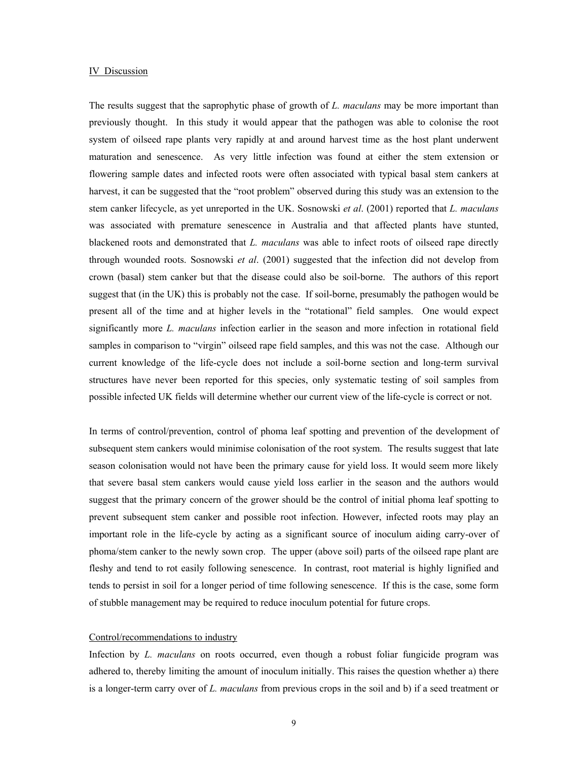#### IV Discussion

The results suggest that the saprophytic phase of growth of *L. maculans* may be more important than previously thought. In this study it would appear that the pathogen was able to colonise the root system of oilseed rape plants very rapidly at and around harvest time as the host plant underwent maturation and senescence. As very little infection was found at either the stem extension or flowering sample dates and infected roots were often associated with typical basal stem cankers at harvest, it can be suggested that the "root problem" observed during this study was an extension to the stem canker lifecycle, as yet unreported in the UK. Sosnowski *et al*. (2001) reported that *L. maculans* was associated with premature senescence in Australia and that affected plants have stunted, blackened roots and demonstrated that *L. maculans* was able to infect roots of oilseed rape directly through wounded roots. Sosnowski *et al*. (2001) suggested that the infection did not develop from crown (basal) stem canker but that the disease could also be soil-borne. The authors of this report suggest that (in the UK) this is probably not the case. If soil-borne, presumably the pathogen would be present all of the time and at higher levels in the "rotational" field samples. One would expect significantly more *L. maculans* infection earlier in the season and more infection in rotational field samples in comparison to "virgin" oilseed rape field samples, and this was not the case. Although our current knowledge of the life-cycle does not include a soil-borne section and long-term survival structures have never been reported for this species, only systematic testing of soil samples from possible infected UK fields will determine whether our current view of the life-cycle is correct or not.

In terms of control/prevention, control of phoma leaf spotting and prevention of the development of subsequent stem cankers would minimise colonisation of the root system. The results suggest that late season colonisation would not have been the primary cause for yield loss. It would seem more likely that severe basal stem cankers would cause yield loss earlier in the season and the authors would suggest that the primary concern of the grower should be the control of initial phoma leaf spotting to prevent subsequent stem canker and possible root infection. However, infected roots may play an important role in the life-cycle by acting as a significant source of inoculum aiding carry-over of phoma/stem canker to the newly sown crop. The upper (above soil) parts of the oilseed rape plant are fleshy and tend to rot easily following senescence. In contrast, root material is highly lignified and tends to persist in soil for a longer period of time following senescence. If this is the case, some form of stubble management may be required to reduce inoculum potential for future crops.

#### Control/recommendations to industry

Infection by *L. maculans* on roots occurred, even though a robust foliar fungicide program was adhered to, thereby limiting the amount of inoculum initially. This raises the question whether a) there is a longer-term carry over of *L. maculans* from previous crops in the soil and b) if a seed treatment or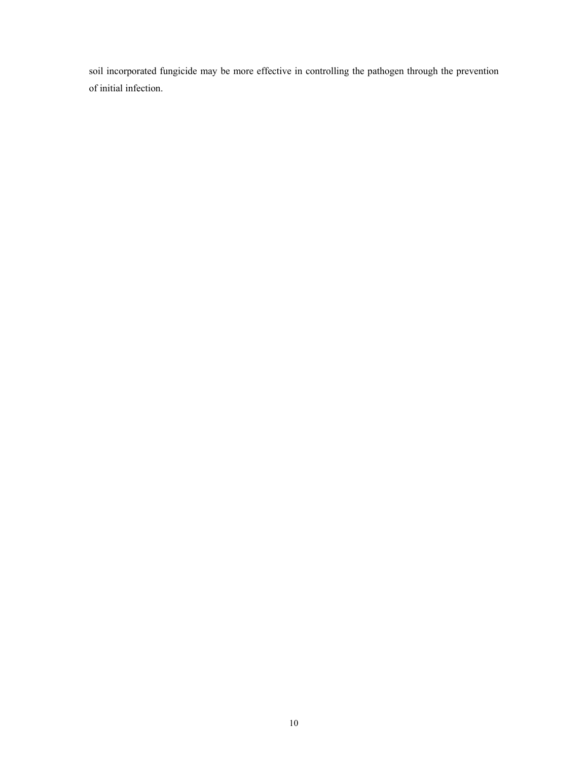soil incorporated fungicide may be more effective in controlling the pathogen through the prevention of initial infection.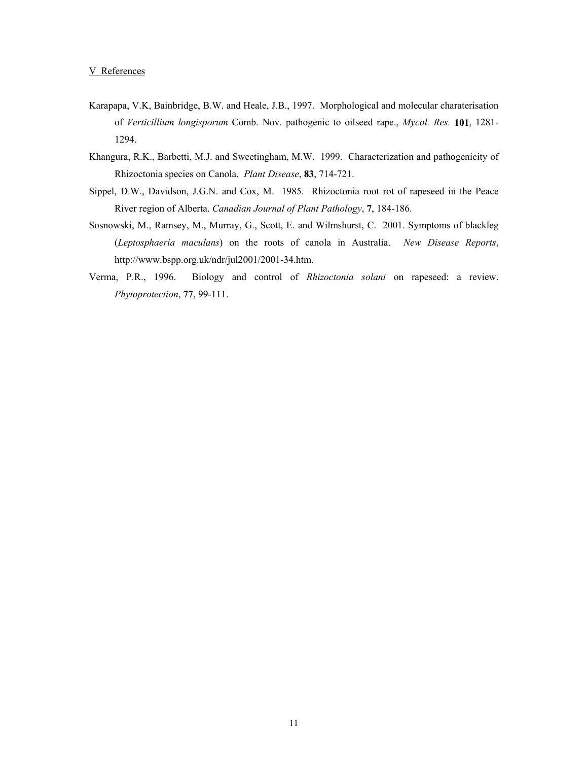- Karapapa, V.K, Bainbridge, B.W. and Heale, J.B., 1997. Morphological and molecular charaterisation of *Verticillium longisporum* Comb. Nov. pathogenic to oilseed rape., *Mycol. Res.* **101**, 1281- 1294.
- Khangura, R.K., Barbetti, M.J. and Sweetingham, M.W. 1999. Characterization and pathogenicity of Rhizoctonia species on Canola. *Plant Disease*, **83**, 714-721.
- Sippel, D.W., Davidson, J.G.N. and Cox, M. 1985. Rhizoctonia root rot of rapeseed in the Peace River region of Alberta. *Canadian Journal of Plant Pathology*, **7**, 184-186.
- Sosnowski, M., Ramsey, M., Murray, G., Scott, E. and Wilmshurst, C. 2001. Symptoms of blackleg (*Leptosphaeria maculans*) on the roots of canola in Australia. *New Disease Reports*, http://www.bspp.org.uk/ndr/jul2001/2001-34.htm.
- Verma, P.R., 1996. Biology and control of *Rhizoctonia solani* on rapeseed: a review. *Phytoprotection*, **77**, 99-111.